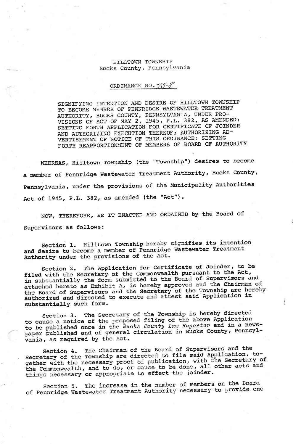## **HILLTOWN TOWNSHIP** Bucks County, Pennsylvania

## ORDINANCE NO. 75-8

SIGNIFYING INTENTION AND DESIRE OF HILLTOWN TOWNSHIP TO BECOME MEMBER OF PENNRIDGE WASTEWATER TREATMENT AUTHORITY, BUCKS COUNTY, PENNSYLVANIA, UNDER PRO-<br>VISIONS OF ACT OF MAY 2, 1945, P.L. 382, AS AMENDED; SETTING FORTH APPLICATION FOR CERTIFICATE OF JOINDER AND AUTHORIZING EXECUTION THEREOF; AUTHORIZING AD-VERTISEMENT OF NOTICE OF THIS ORDINANCE; SETTING<br>FORTH REAPPORTIONMENT OF MEMBERS OF BOARD OF AUTHORITY

WHEREAS, Hilltown Township (the "Township") desires to become a member of Pennridge Wastewater Treatment Authority, Bucks County, Pennsylvania, under the provisions of the Municipality Authorities Act of 1945, P.L. 382, as amended (the "Act").

NOW, THEREFORE, BE IT ENACTED AND ORDAINED by the Board of Supervisors as follows:

Section 1. Hilltown Township hereby signifies its intention and desire to become a member of Pennridge Wastewater Treatment Authority under the provisions of the Act.

Section 2. The Application for Certificate of Joinder, to be filed with the Secretary of the Commonwealth pursuant to the Act, in substantially the form submitted to the Board of Supervisors and attached hereto as Exhibit A, is hereby approved and the Chairman of the Board of Supervisors and the Secretary of the Township are hereby authorized and directed to execute and attest said Application in substantially such form.

Section 3. The Secretary of the Township is hereby directed to cause a notice of the proposed filing of the above Application to be published once in the Bucks County Law Reporter and in a newspaper published and of general circulation in Bucks County, Pennsylvania, as required by the Act.

Section 4. The Chairman of the Board of Supervisors and the Secretary of the Township are directed to file said Application, together with the necessary proof of publication, with the Secretary of the Commonwealth, and to do, or cause to be done, all other acts and things necessary or appropriate to effect the joinder.

Section 5. The increase in the number of members on the Board of Pennridge Wastewater Treatment Authority necessary to provide one